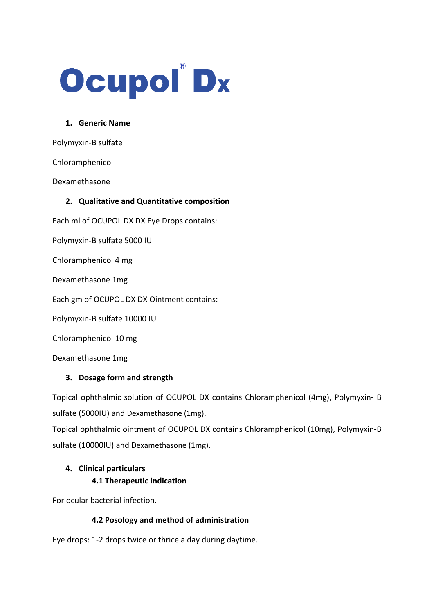# Ocupol Dx

### **1. Generic Name**

Polymyxin-B sulfate

Chloramphenicol

Dexamethasone

## **2. Qualitative and Quantitative composition**

Each ml of OCUPOL DX DX Eye Drops contains:

Polymyxin-B sulfate 5000 IU

Chloramphenicol 4 mg

Dexamethasone 1mg

Each gm of OCUPOL DX DX Ointment contains:

Polymyxin-B sulfate 10000 IU

Chloramphenicol 10 mg

Dexamethasone 1mg

## **3. Dosage form and strength**

Topical ophthalmic solution of OCUPOL DX contains Chloramphenicol (4mg), Polymyxin- B sulfate (5000IU) and Dexamethasone (1mg).

Topical ophthalmic ointment of OCUPOL DX contains Chloramphenicol (10mg), Polymyxin-B sulfate (10000IU) and Dexamethasone (1mg).

# **4. Clinical particulars**

## **4.1 Therapeutic indication**

For ocular bacterial infection.

## **4.2 Posology and method of administration**

Eye drops: 1-2 drops twice or thrice a day during daytime.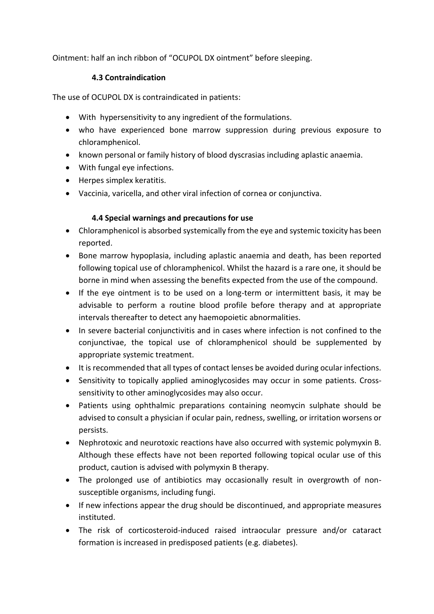Ointment: half an inch ribbon of "OCUPOL DX ointment" before sleeping.

## **4.3 Contraindication**

The use of OCUPOL DX is contraindicated in patients:

- With hypersensitivity to any ingredient of the formulations.
- who have experienced bone marrow suppression during previous exposure to chloramphenicol.
- known personal or family history of blood dyscrasias including aplastic anaemia.
- With fungal eye infections.
- Herpes simplex keratitis.
- Vaccinia, varicella, and other viral infection of cornea or conjunctiva.

# **4.4 Special warnings and precautions for use**

- Chloramphenicol is absorbed systemically from the eye and systemic toxicity has been reported.
- Bone marrow hypoplasia, including aplastic anaemia and death, has been reported following topical use of chloramphenicol. Whilst the hazard is a rare one, it should be borne in mind when assessing the benefits expected from the use of the compound.
- If the eye ointment is to be used on a long-term or intermittent basis, it may be advisable to perform a routine blood profile before therapy and at appropriate intervals thereafter to detect any haemopoietic abnormalities.
- In severe bacterial conjunctivitis and in cases where infection is not confined to the conjunctivae, the topical use of chloramphenicol should be supplemented by appropriate systemic treatment.
- It is recommended that all types of contact lenses be avoided during ocular infections.
- Sensitivity to topically applied aminoglycosides may occur in some patients. Crosssensitivity to other aminoglycosides may also occur.
- Patients using ophthalmic preparations containing neomycin sulphate should be advised to consult a physician if ocular pain, redness, swelling, or irritation worsens or persists.
- Nephrotoxic and neurotoxic reactions have also occurred with systemic polymyxin B. Although these effects have not been reported following topical ocular use of this product, caution is advised with polymyxin B therapy.
- The prolonged use of antibiotics may occasionally result in overgrowth of nonsusceptible organisms, including fungi.
- If new infections appear the drug should be discontinued, and appropriate measures instituted.
- The risk of corticosteroid-induced raised intraocular pressure and/or cataract formation is increased in predisposed patients (e.g. diabetes).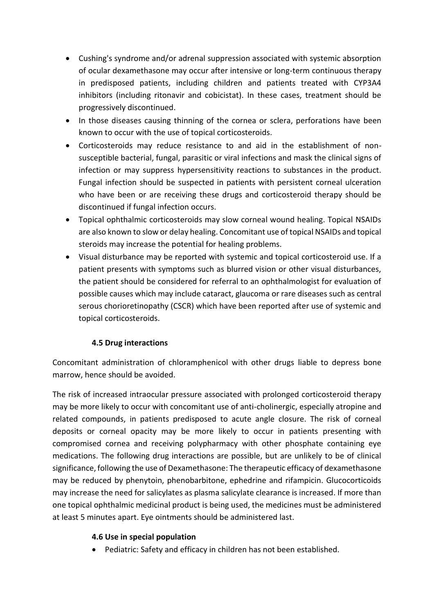- Cushing's syndrome and/or adrenal suppression associated with systemic absorption of ocular dexamethasone may occur after intensive or long-term continuous therapy in predisposed patients, including children and patients treated with CYP3A4 inhibitors (including ritonavir and cobicistat). In these cases, treatment should be progressively discontinued.
- In those diseases causing thinning of the cornea or sclera, perforations have been known to occur with the use of topical corticosteroids.
- Corticosteroids may reduce resistance to and aid in the establishment of nonsusceptible bacterial, fungal, parasitic or viral infections and mask the clinical signs of infection or may suppress hypersensitivity reactions to substances in the product. Fungal infection should be suspected in patients with persistent corneal ulceration who have been or are receiving these drugs and corticosteroid therapy should be discontinued if fungal infection occurs.
- Topical ophthalmic corticosteroids may slow corneal wound healing. Topical NSAIDs are also known to slow or delay healing. Concomitant use of topical NSAIDs and topical steroids may increase the potential for healing problems.
- Visual disturbance may be reported with systemic and topical corticosteroid use. If a patient presents with symptoms such as blurred vision or other visual disturbances, the patient should be considered for referral to an ophthalmologist for evaluation of possible causes which may include cataract, glaucoma or rare diseases such as central serous chorioretinopathy (CSCR) which have been reported after use of systemic and topical corticosteroids.

# **4.5 Drug interactions**

Concomitant administration of chloramphenicol with other drugs liable to depress bone marrow, hence should be avoided.

The risk of increased intraocular pressure associated with prolonged corticosteroid therapy may be more likely to occur with concomitant use of anti-cholinergic, especially atropine and related compounds, in patients predisposed to acute angle closure. The risk of corneal deposits or corneal opacity may be more likely to occur in patients presenting with compromised cornea and receiving polypharmacy with other phosphate containing eye medications. The following drug interactions are possible, but are unlikely to be of clinical significance, following the use of Dexamethasone: The therapeutic efficacy of dexamethasone may be reduced by phenytoin, phenobarbitone, ephedrine and rifampicin. Glucocorticoids may increase the need for salicylates as plasma salicylate clearance is increased. If more than one topical ophthalmic medicinal product is being used, the medicines must be administered at least 5 minutes apart. Eye ointments should be administered last.

## **4.6 Use in special population**

• Pediatric: Safety and efficacy in children has not been established.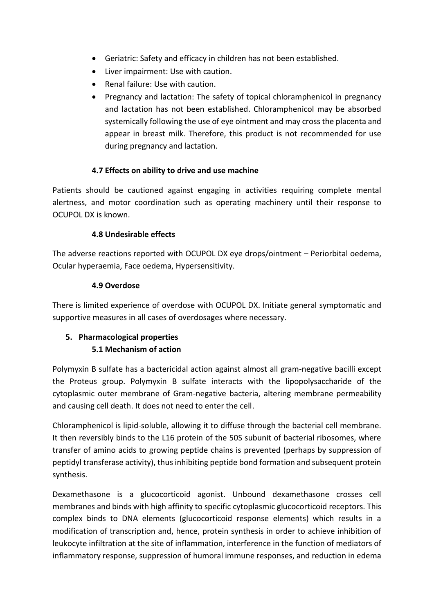- Geriatric: Safety and efficacy in children has not been established.
- Liver impairment: Use with caution.
- Renal failure: Use with caution.
- Pregnancy and lactation: The safety of topical chloramphenicol in pregnancy and lactation has not been established. Chloramphenicol may be absorbed systemically following the use of eye ointment and may cross the placenta and appear in breast milk. Therefore, this product is not recommended for use during pregnancy and lactation.

# **4.7 Effects on ability to drive and use machine**

Patients should be cautioned against engaging in activities requiring complete mental alertness, and motor coordination such as operating machinery until their response to OCUPOL DX is known.

# **4.8 Undesirable effects**

The adverse reactions reported with OCUPOL DX eye drops/ointment – Periorbital oedema, Ocular hyperaemia, Face oedema, Hypersensitivity.

# **4.9 Overdose**

There is limited experience of overdose with OCUPOL DX. Initiate general symptomatic and supportive measures in all cases of overdosages where necessary.

# **5. Pharmacological properties 5.1 Mechanism of action**

Polymyxin B sulfate has a bactericidal action against almost all gram-negative bacilli except the Proteus group. Polymyxin B sulfate interacts with the lipopolysaccharide of the cytoplasmic outer membrane of Gram-negative bacteria, altering membrane permeability and causing cell death. It does not need to enter the cell.

Chloramphenicol is lipid-soluble, allowing it to diffuse through the bacterial cell membrane. It then reversibly binds to the L16 protein of the 50S subunit of bacterial ribosomes, where transfer of amino acids to growing peptide chains is prevented (perhaps by suppression of peptidyl transferase activity), thus inhibiting peptide bond formation and subsequent protein synthesis.

Dexamethasone is a glucocorticoid agonist. Unbound dexamethasone crosses cell membranes and binds with high affinity to specific cytoplasmic glucocorticoid receptors. This complex binds to DNA elements (glucocorticoid response elements) which results in a modification of transcription and, hence, protein synthesis in order to achieve inhibition of leukocyte infiltration at the site of inflammation, interference in the function of mediators of inflammatory response, suppression of humoral immune responses, and reduction in edema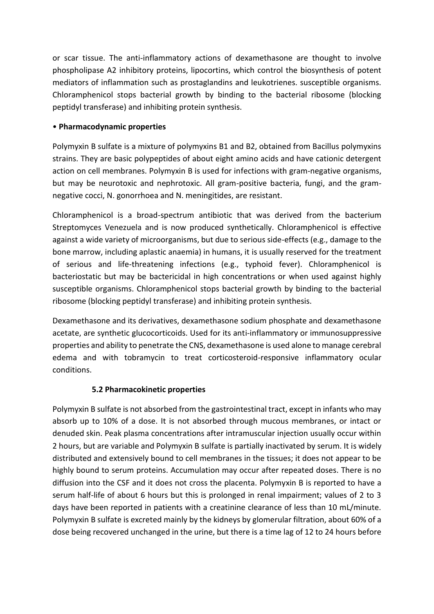or scar tissue. The anti-inflammatory actions of dexamethasone are thought to involve phospholipase A2 inhibitory proteins, lipocortins, which control the biosynthesis of potent mediators of inflammation such as prostaglandins and leukotrienes. susceptible organisms. Chloramphenicol stops bacterial growth by binding to the bacterial ribosome (blocking peptidyl transferase) and inhibiting protein synthesis.

# • **Pharmacodynamic properties**

Polymyxin B sulfate is a mixture of polymyxins B1 and B2, obtained from Bacillus polymyxins strains. They are basic polypeptides of about eight amino acids and have cationic detergent action on cell membranes. Polymyxin B is used for infections with gram-negative organisms, but may be neurotoxic and nephrotoxic. All gram-positive bacteria, fungi, and the gramnegative cocci, N. gonorrhoea and N. meningitides, are resistant.

Chloramphenicol is a broad-spectrum antibiotic that was derived from the bacterium Streptomyces Venezuela and is now produced synthetically. Chloramphenicol is effective against a wide variety of microorganisms, but due to serious side-effects (e.g., damage to the bone marrow, including aplastic anaemia) in humans, it is usually reserved for the treatment of serious and life-threatening infections (e.g., typhoid fever). Chloramphenicol is bacteriostatic but may be bactericidal in high concentrations or when used against highly susceptible organisms. Chloramphenicol stops bacterial growth by binding to the bacterial ribosome (blocking peptidyl transferase) and inhibiting protein synthesis.

Dexamethasone and its derivatives, dexamethasone sodium phosphate and dexamethasone acetate, are synthetic glucocorticoids. Used for its anti-inflammatory or immunosuppressive properties and ability to penetrate the CNS, dexamethasone is used alone to manage cerebral edema and with tobramycin to treat corticosteroid-responsive inflammatory ocular conditions.

# **5.2 Pharmacokinetic properties**

Polymyxin B sulfate is not absorbed from the gastrointestinal tract, except in infants who may absorb up to 10% of a dose. It is not absorbed through mucous membranes, or intact or denuded skin. Peak plasma concentrations after intramuscular injection usually occur within 2 hours, but are variable and Polymyxin B sulfate is partially inactivated by serum. It is widely distributed and extensively bound to cell membranes in the tissues; it does not appear to be highly bound to serum proteins. Accumulation may occur after repeated doses. There is no diffusion into the CSF and it does not cross the placenta. Polymyxin B is reported to have a serum half-life of about 6 hours but this is prolonged in renal impairment; values of 2 to 3 days have been reported in patients with a creatinine clearance of less than 10 mL/minute. Polymyxin B sulfate is excreted mainly by the kidneys by glomerular filtration, about 60% of a dose being recovered unchanged in the urine, but there is a time lag of 12 to 24 hours before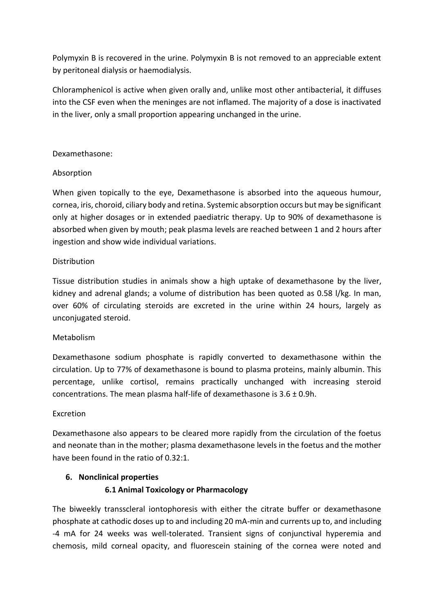Polymyxin B is recovered in the urine. Polymyxin B is not removed to an appreciable extent by peritoneal dialysis or haemodialysis.

Chloramphenicol is active when given orally and, unlike most other antibacterial, it diffuses into the CSF even when the meninges are not inflamed. The majority of a dose is inactivated in the liver, only a small proportion appearing unchanged in the urine.

### Dexamethasone:

## Absorption

When given topically to the eye, Dexamethasone is absorbed into the aqueous humour, cornea, iris, choroid, ciliary body and retina. Systemic absorption occurs but may be significant only at higher dosages or in extended paediatric therapy. Up to 90% of dexamethasone is absorbed when given by mouth; peak plasma levels are reached between 1 and 2 hours after ingestion and show wide individual variations.

#### **Distribution**

Tissue distribution studies in animals show a high uptake of dexamethasone by the liver, kidney and adrenal glands; a volume of distribution has been quoted as 0.58 l/kg. In man, over 60% of circulating steroids are excreted in the urine within 24 hours, largely as unconjugated steroid.

## Metabolism

Dexamethasone sodium phosphate is rapidly converted to dexamethasone within the circulation. Up to 77% of dexamethasone is bound to plasma proteins, mainly albumin. This percentage, unlike cortisol, remains practically unchanged with increasing steroid concentrations. The mean plasma half-life of dexamethasone is 3.6 ± 0.9h.

#### Excretion

Dexamethasone also appears to be cleared more rapidly from the circulation of the foetus and neonate than in the mother; plasma dexamethasone levels in the foetus and the mother have been found in the ratio of 0.32:1.

## **6. Nonclinical properties**

## **6.1 Animal Toxicology or Pharmacology**

The biweekly transscleral iontophoresis with either the citrate buffer or dexamethasone phosphate at cathodic doses up to and including 20 mA-min and currents up to, and including -4 mA for 24 weeks was well-tolerated. Transient signs of conjunctival hyperemia and chemosis, mild corneal opacity, and fluorescein staining of the cornea were noted and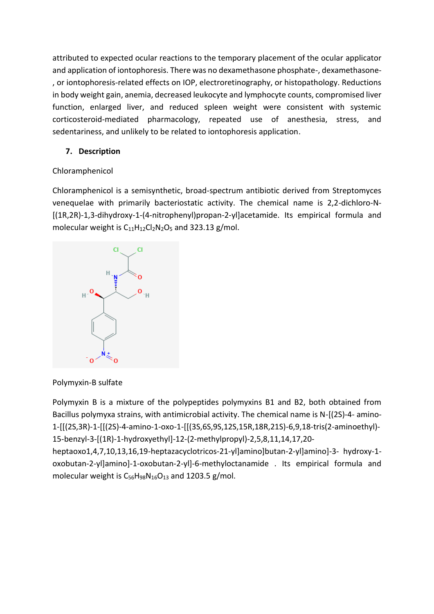attributed to expected ocular reactions to the temporary placement of the ocular applicator and application of iontophoresis. There was no dexamethasone phosphate-, dexamethasone- , or iontophoresis-related effects on IOP, electroretinography, or histopathology. Reductions in body weight gain, anemia, decreased leukocyte and lymphocyte counts, compromised liver function, enlarged liver, and reduced spleen weight were consistent with systemic corticosteroid-mediated pharmacology, repeated use of anesthesia, stress, and sedentariness, and unlikely to be related to iontophoresis application.

# **7. Description**

# Chloramphenicol

Chloramphenicol is a semisynthetic, broad-spectrum antibiotic derived from Streptomyces venequelae with primarily bacteriostatic activity. The chemical name is 2,2-dichloro-N- [(1R,2R)-1,3-dihydroxy-1-(4-nitrophenyl)propan-2-yl]acetamide. Its empirical formula and molecular weight is  $C_{11}H_{12}Cl_2N_2O_5$  and 323.13 g/mol.



Polymyxin-B sulfate

Polymyxin B is a mixture of the polypeptides polymyxins B1 and B2, both obtained from Bacillus polymyxa strains, with antimicrobial activity. The chemical name is N-[(2S)-4- amino-1-[[(2S,3R)-1-[[(2S)-4-amino-1-oxo-1-[[(3S,6S,9S,12S,15R,18R,21S)-6,9,18-tris(2-aminoethyl)- 15-benzyl-3-[(1R)-1-hydroxyethyl]-12-(2-methylpropyl)-2,5,8,11,14,17,20-

heptaoxo1,4,7,10,13,16,19-heptazacyclotricos-21-yl]amino]butan-2-yl]amino]-3- hydroxy-1 oxobutan-2-yl]amino]-1-oxobutan-2-yl]-6-methyloctanamide . Its empirical formula and molecular weight is  $C_{56}H_{98}N_{16}O_{13}$  and 1203.5 g/mol.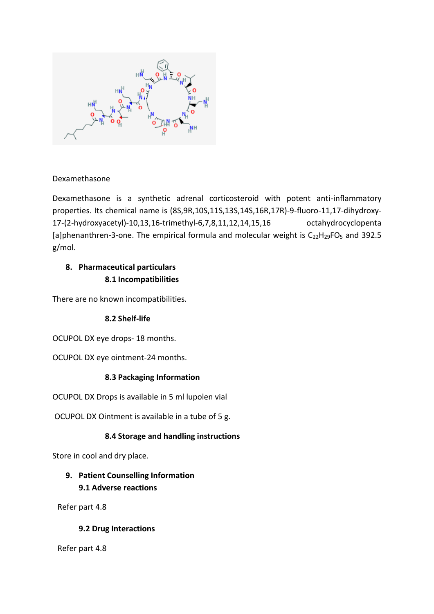

# Dexamethasone

Dexamethasone is a synthetic adrenal corticosteroid with potent anti-inflammatory properties. Its chemical name is (8S,9R,10S,11S,13S,14S,16R,17R)-9-fluoro-11,17-dihydroxy-17-(2-hydroxyacetyl)-10,13,16-trimethyl-6,7,8,11,12,14,15,16 octahydrocyclopenta [a]phenanthren-3-one. The empirical formula and molecular weight is  $C_{22}H_{29}FO_5$  and 392.5 g/mol.

# **8. Pharmaceutical particulars 8.1 Incompatibilities**

There are no known incompatibilities.

# **8.2 Shelf-life**

OCUPOL DX eye drops- 18 months.

OCUPOL DX eye ointment-24 months.

## **8.3 Packaging Information**

OCUPOL DX Drops is available in 5 ml lupolen vial

OCUPOL DX Ointment is available in a tube of 5 g.

# **8.4 Storage and handling instructions**

Store in cool and dry place.

# **9. Patient Counselling Information 9.1 Adverse reactions**

Refer part 4.8

# **9.2 Drug Interactions**

Refer part 4.8